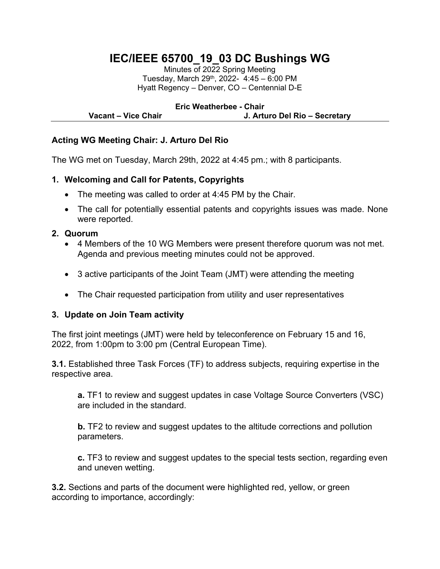# **IEC/IEEE 65700\_19\_03 DC Bushings WG**

Minutes of 2022 Spring Meeting Tuesday, March 29<sup>th</sup>, 2022- 4:45 – 6:00 PM Hyatt Regency – Denver, CO – Centennial D-E

#### **Eric Weatherbee - Chair**

Vacant – Vice Chair **J. Arturo Del Rio – Secretary** 

## **Acting WG Meeting Chair: J. Arturo Del Rio**

The WG met on Tuesday, March 29th, 2022 at 4:45 pm.; with 8 participants.

## **1. Welcoming and Call for Patents, Copyrights**

- The meeting was called to order at 4:45 PM by the Chair.
- The call for potentially essential patents and copyrights issues was made. None were reported.

#### **2. Quorum**

- 4 Members of the 10 WG Members were present therefore quorum was not met. Agenda and previous meeting minutes could not be approved.
- 3 active participants of the Joint Team (JMT) were attending the meeting
- The Chair requested participation from utility and user representatives

## **3. Update on Join Team activity**

The first joint meetings (JMT) were held by teleconference on February 15 and 16, 2022, from 1:00pm to 3:00 pm (Central European Time).

**3.1.** Established three Task Forces (TF) to address subjects, requiring expertise in the respective area.

**a.** TF1 to review and suggest updates in case Voltage Source Converters (VSC) are included in the standard.

**b.** TF2 to review and suggest updates to the altitude corrections and pollution parameters.

**c.** TF3 to review and suggest updates to the special tests section, regarding even and uneven wetting.

**3.2.** Sections and parts of the document were highlighted red, yellow, or green according to importance, accordingly: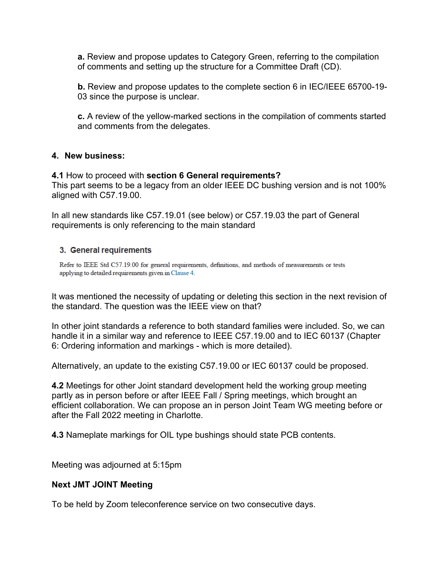**a.** Review and propose updates to Category Green, referring to the compilation of comments and setting up the structure for a Committee Draft (CD).

**b.** Review and propose updates to the complete section 6 in IEC/IEEE 65700-19- 03 since the purpose is unclear.

**c.** A review of the yellow-marked sections in the compilation of comments started and comments from the delegates.

## **4. New business:**

**4.1** How to proceed with **section 6 General requirements?** 

This part seems to be a legacy from an older IEEE DC bushing version and is not 100% aligned with C57.19.00.

In all new standards like C57.19.01 (see below) or C57.19.03 the part of General requirements is only referencing to the main standard

## 3. General requirements

Refer to IEEE Std C57.19.00 for general requirements, definitions, and methods of measurements or tests applying to detailed requirements given in Clause 4.

It was mentioned the necessity of updating or deleting this section in the next revision of the standard. The question was the IEEE view on that?

In other joint standards a reference to both standard families were included. So, we can handle it in a similar way and reference to IEEE C57.19.00 and to IEC 60137 (Chapter 6: Ordering information and markings - which is more detailed).

Alternatively, an update to the existing C57.19.00 or IEC 60137 could be proposed.

**4.2** Meetings for other Joint standard development held the working group meeting partly as in person before or after IEEE Fall / Spring meetings, which brought an efficient collaboration. We can propose an in person Joint Team WG meeting before or after the Fall 2022 meeting in Charlotte.

**4.3** Nameplate markings for OIL type bushings should state PCB contents.

Meeting was adjourned at 5:15pm

## **Next JMT JOINT Meeting**

To be held by Zoom teleconference service on two consecutive days.